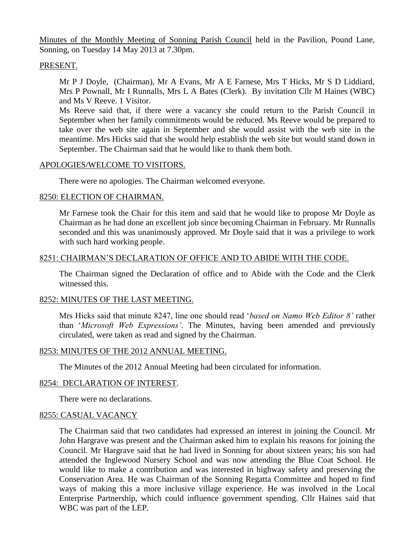Minutes of the Monthly Meeting of Sonning Parish Council held in the Pavilion, Pound Lane, Sonning, on Tuesday 14 May 2013 at 7.30pm.

# PRESENT.

Mr P J Doyle, (Chairman), Mr A Evans, Mr A E Farnese, Mrs T Hicks, Mr S D Liddiard, Mrs P Pownall, Mr I Runnalls, Mrs L A Bates (Clerk). By invitation Cllr M Haines (WBC) and Ms V Reeve. 1 Visitor.

Ms Reeve said that, if there were a vacancy she could return to the Parish Council in September when her family commitments would be reduced. Ms Reeve would be prepared to take over the web site again in September and she would assist with the web site in the meantime. Mrs Hicks said that she would help establish the web site but would stand down in September. The Chairman said that he would like to thank them both.

## APOLOGIES/WELCOME TO VISITORS.

There were no apologies. The Chairman welcomed everyone.

## 8250: ELECTION OF CHAIRMAN.

Mr Farnese took the Chair for this item and said that he would like to propose Mr Doyle as Chairman as he had done an excellent job since becoming Chairman in February. Mr Runnalls seconded and this was unanimously approved. Mr Doyle said that it was a privilege to work with such hard working people.

## 8251: CHAIRMAN'S DECLARATION OF OFFICE AND TO ABIDE WITH THE CODE.

The Chairman signed the Declaration of office and to Abide with the Code and the Clerk witnessed this.

#### 8252: MINUTES OF THE LAST MEETING.

Mrs Hicks said that minute 8247, line one should read '*based on Namo Web Editor 8'* rather than '*Microsoft Web Expressions'*. The Minutes, having been amended and previously circulated, were taken as read and signed by the Chairman.

#### 8253: MINUTES OF THE 2012 ANNUAL MEETING.

The Minutes of the 2012 Annual Meeting had been circulated for information.

#### 8254: DECLARATION OF INTEREST.

There were no declarations.

#### 8255: CASUAL VACANCY

The Chairman said that two candidates had expressed an interest in joining the Council. Mr John Hargrave was present and the Chairman asked him to explain his reasons for joining the Council. Mr Hargrave said that he had lived in Sonning for about sixteen years; his son had attended the Inglewood Nursery School and was now attending the Blue Coat School. He would like to make a contribution and was interested in highway safety and preserving the Conservation Area. He was Chairman of the Sonning Regatta Committee and hoped to find ways of making this a more inclusive village experience. He was involved in the Local Enterprise Partnership, which could influence government spending. Cllr Haines said that WBC was part of the LEP.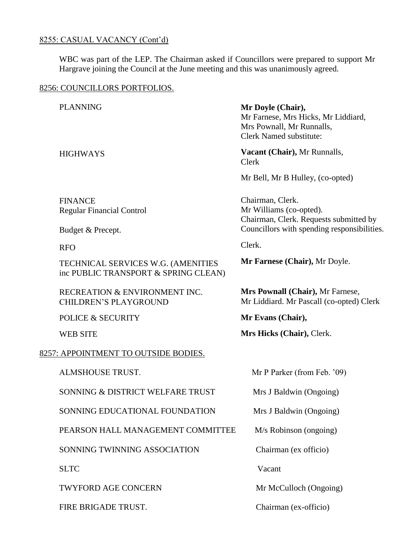# 8255: CASUAL VACANCY (Cont'd)

WBC was part of the LEP. The Chairman asked if Councillors were prepared to support Mr Hargrave joining the Council at the June meeting and this was unanimously agreed.

# 8256: COUNCILLORS PORTFOLIOS.

|                                      | <b>PLANNING</b>                                                            |        | Mr Doyle (Chair),<br>Mr Farnese, Mrs Hicks, Mr Liddiard,<br>Mrs Pownall, Mr Runnalls,<br><b>Clerk Named substitute:</b> |  |
|--------------------------------------|----------------------------------------------------------------------------|--------|-------------------------------------------------------------------------------------------------------------------------|--|
|                                      | <b>HIGHWAYS</b>                                                            | Clerk  | Vacant (Chair), Mr Runnalls,                                                                                            |  |
|                                      |                                                                            |        | Mr Bell, Mr B Hulley, (co-opted)                                                                                        |  |
|                                      | <b>FINANCE</b><br><b>Regular Financial Control</b>                         |        | Chairman, Clerk.<br>Mr Williams (co-opted).                                                                             |  |
|                                      | Budget & Precept.                                                          |        | Chairman, Clerk. Requests submitted by<br>Councillors with spending responsibilities.                                   |  |
|                                      | <b>RFO</b>                                                                 | Clerk. |                                                                                                                         |  |
|                                      | TECHNICAL SERVICES W.G. (AMENITIES<br>inc PUBLIC TRANSPORT & SPRING CLEAN) |        | Mr Farnese (Chair), Mr Doyle.                                                                                           |  |
|                                      | RECREATION & ENVIRONMENT INC.<br><b>CHILDREN'S PLAYGROUND</b>              |        | Mrs Pownall (Chair), Mr Farnese,<br>Mr Liddiard. Mr Pascall (co-opted) Clerk                                            |  |
|                                      | <b>POLICE &amp; SECURITY</b>                                               |        | Mr Evans (Chair),                                                                                                       |  |
|                                      | <b>WEB SITE</b>                                                            |        | Mrs Hicks (Chair), Clerk.                                                                                               |  |
| 8257: APPOINTMENT TO OUTSIDE BODIES. |                                                                            |        |                                                                                                                         |  |
|                                      | ALMSHOUSE TRUST.                                                           |        | Mr P Parker (from Feb. '09)                                                                                             |  |
|                                      | SONNING & DISTRICT WELFARE TRUST                                           |        | Mrs J Baldwin (Ongoing)                                                                                                 |  |
|                                      | SONNING EDUCATIONAL FOUNDATION                                             |        | Mrs J Baldwin (Ongoing)                                                                                                 |  |
|                                      | PEARSON HALL MANAGEMENT COMMITTEE                                          |        | $M/s$ Robinson (ongoing)                                                                                                |  |
|                                      | SONNING TWINNING ASSOCIATION                                               |        | Chairman (ex officio)                                                                                                   |  |
|                                      | <b>SLTC</b>                                                                |        | Vacant                                                                                                                  |  |
|                                      | <b>TWYFORD AGE CONCERN</b>                                                 |        | Mr McCulloch (Ongoing)                                                                                                  |  |
|                                      | FIRE BRIGADE TRUST.                                                        |        | Chairman (ex-officio)                                                                                                   |  |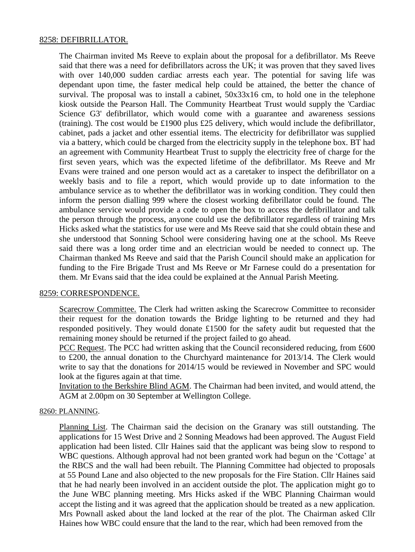### 8258: DEFIBRILLATOR.

The Chairman invited Ms Reeve to explain about the proposal for a defibrillator. Ms Reeve said that there was a need for defibrillators across the UK; it was proven that they saved lives with over 140,000 sudden cardiac arrests each year. The potential for saving life was dependant upon time, the faster medical help could be attained, the better the chance of survival. The proposal was to install a cabinet,  $50x33x16$  cm, to hold one in the telephone kiosk outside the Pearson Hall. The Community Heartbeat Trust would supply the 'Cardiac Science G3' defibrillator, which would come with a guarantee and awareness sessions (training). The cost would be £1900 plus £25 delivery, which would include the defibrillator, cabinet, pads a jacket and other essential items. The electricity for defibrillator was supplied via a battery, which could be charged from the electricity supply in the telephone box. BT had an agreement with Community Heartbeat Trust to supply the electricity free of charge for the first seven years, which was the expected lifetime of the defibrillator. Ms Reeve and Mr Evans were trained and one person would act as a caretaker to inspect the defibrillator on a weekly basis and to file a report, which would provide up to date information to the ambulance service as to whether the defibrillator was in working condition. They could then inform the person dialling 999 where the closest working defibrillator could be found. The ambulance service would provide a code to open the box to access the defibrillator and talk the person through the process, anyone could use the defibrillator regardless of training Mrs Hicks asked what the statistics for use were and Ms Reeve said that she could obtain these and she understood that Sonning School were considering having one at the school. Ms Reeve said there was a long order time and an electrician would be needed to connect up. The Chairman thanked Ms Reeve and said that the Parish Council should make an application for funding to the Fire Brigade Trust and Ms Reeve or Mr Farnese could do a presentation for them. Mr Evans said that the idea could be explained at the Annual Parish Meeting.

#### 8259: CORRESPONDENCE.

Scarecrow Committee. The Clerk had written asking the Scarecrow Committee to reconsider their request for the donation towards the Bridge lighting to be returned and they had responded positively. They would donate £1500 for the safety audit but requested that the remaining money should be returned if the project failed to go ahead.

PCC Request. The PCC had written asking that the Council reconsidered reducing, from £600 to £200, the annual donation to the Churchyard maintenance for 2013/14. The Clerk would write to say that the donations for 2014/15 would be reviewed in November and SPC would look at the figures again at that time.

Invitation to the Berkshire Blind AGM. The Chairman had been invited, and would attend, the AGM at 2.00pm on 30 September at Wellington College.

#### 8260: PLANNING.

Planning List. The Chairman said the decision on the Granary was still outstanding. The applications for 15 West Drive and 2 Sonning Meadows had been approved. The August Field application had been listed. Cllr Haines said that the applicant was being slow to respond to WBC questions. Although approval had not been granted work had begun on the 'Cottage' at the RBCS and the wall had been rebuilt. The Planning Committee had objected to proposals at 55 Pound Lane and also objected to the new proposals for the Fire Station. Cllr Haines said that he had nearly been involved in an accident outside the plot. The application might go to the June WBC planning meeting. Mrs Hicks asked if the WBC Planning Chairman would accept the listing and it was agreed that the application should be treated as a new application. Mrs Pownall asked about the land locked at the rear of the plot. The Chairman asked Cllr Haines how WBC could ensure that the land to the rear, which had been removed from the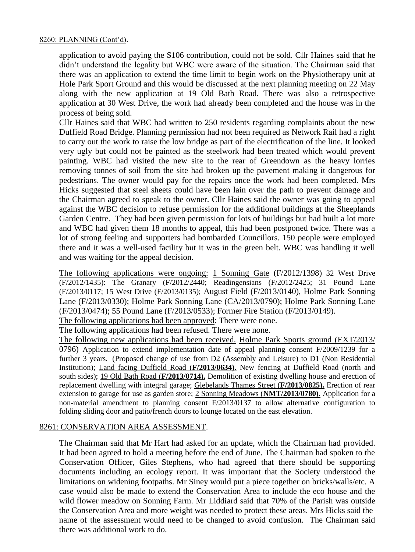application to avoid paying the S106 contribution, could not be sold. Cllr Haines said that he didn't understand the legality but WBC were aware of the situation. The Chairman said that there was an application to extend the time limit to begin work on the Physiotherapy unit at Hole Park Sport Ground and this would be discussed at the next planning meeting on 22 May along with the new application at 19 Old Bath Road. There was also a retrospective application at 30 West Drive, the work had already been completed and the house was in the process of being sold.

Cllr Haines said that WBC had written to 250 residents regarding complaints about the new Duffield Road Bridge. Planning permission had not been required as Network Rail had a right to carry out the work to raise the low bridge as part of the electrification of the line. It looked very ugly but could not be painted as the steelwork had been treated which would prevent painting. WBC had visited the new site to the rear of Greendown as the heavy lorries removing tonnes of soil from the site had broken up the pavement making it dangerous for pedestrians. The owner would pay for the repairs once the work had been completed. Mrs Hicks suggested that steel sheets could have been lain over the path to prevent damage and the Chairman agreed to speak to the owner. Cllr Haines said the owner was going to appeal against the WBC decision to refuse permission for the additional buildings at the Sheeplands Garden Centre. They had been given permission for lots of buildings but had built a lot more and WBC had given them 18 months to appeal, this had been postponed twice. There was a lot of strong feeling and supporters had bombarded Councillors. 150 people were employed there and it was a well-used facility but it was in the green belt. WBC was handling it well and was waiting for the appeal decision.

The following applications were ongoing: 1 Sonning Gate (F/2012/1398) 32 West Drive (F/2012/1435): The Granary (F/2012/2440; Readingensians (F/2012/2425; 31 Pound Lane (F/2013/0117; 15 West Drive (F/2013/0135); August Field (F/2013/0140), Holme Park Sonning Lane (F/2013/0330); Holme Park Sonning Lane (CA/2013/0790); Holme Park Sonning Lane (F/2013/0474); 55 Pound Lane (F/2013/0533); Former Fire Station (F/2013/0149).

The following applications had been approved: There were none.

The following applications had been refused. There were none.

The following new applications had been received. Holme Park Sports ground (EXT/2013/ 0796) Application to extend implementation date of appeal planning consent F/2009/1239 for a further 3 years. (Proposed change of use from D2 (Assembly and Leisure) to D1 (Non Residential Institution); Land facing Duffield Road (**F/2013/0634).** New fencing at Duffield Road (north and south sides); 19 Old Bath Road (**F/2013/0714).** Demolition of existing dwelling house and erection of replacement dwelling with integral garage; Glebelands Thames Street (**F/2013/0825).** Erection of rear extension to garage for use as garden store; 2 Sonning Meadows (**NMT/2013/0780).** Application for a non-material amendment to planning consent F/2013/0137 to allow alternative configuration to folding sliding door and patio/french doors to lounge located on the east elevation.

# 8261: CONSERVATION AREA ASSESSMENT.

The Chairman said that Mr Hart had asked for an update, which the Chairman had provided. It had been agreed to hold a meeting before the end of June. The Chairman had spoken to the Conservation Officer, Giles Stephens, who had agreed that there should be supporting documents including an ecology report. It was important that the Society understood the limitations on widening footpaths. Mr Siney would put a piece together on bricks/walls/etc. A case would also be made to extend the Conservation Area to include the eco house and the wild flower meadow on Sonning Farm. Mr Liddiard said that 70% of the Parish was outside the Conservation Area and more weight was needed to protect these areas. Mrs Hicks said the name of the assessment would need to be changed to avoid confusion. The Chairman said there was additional work to do.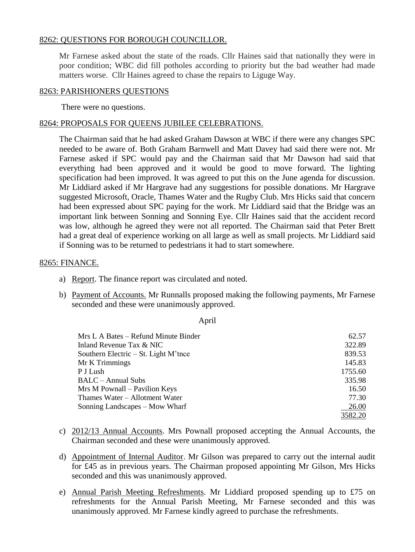# 8262: QUESTIONS FOR BOROUGH COUNCILLOR.

Mr Farnese asked about the state of the roads. Cllr Haines said that nationally they were in poor condition; WBC did fill potholes according to priority but the bad weather had made matters worse. Cllr Haines agreed to chase the repairs to Liguge Way.

## 8263: PARISHIONERS QUESTIONS

There were no questions.

# 8264: PROPOSALS FOR QUEENS JUBILEE CELEBRATIONS.

The Chairman said that he had asked Graham Dawson at WBC if there were any changes SPC needed to be aware of. Both Graham Barnwell and Matt Davey had said there were not. Mr Farnese asked if SPC would pay and the Chairman said that Mr Dawson had said that everything had been approved and it would be good to move forward. The lighting specification had been improved. It was agreed to put this on the June agenda for discussion. Mr Liddiard asked if Mr Hargrave had any suggestions for possible donations. Mr Hargrave suggested Microsoft, Oracle, Thames Water and the Rugby Club. Mrs Hicks said that concern had been expressed about SPC paying for the work. Mr Liddiard said that the Bridge was an important link between Sonning and Sonning Eye. Cllr Haines said that the accident record was low, although he agreed they were not all reported. The Chairman said that Peter Brett had a great deal of experience working on all large as well as small projects. Mr Liddiard said if Sonning was to be returned to pedestrians it had to start somewhere.

# 8265: FINANCE.

- a) Report. The finance report was circulated and noted.
- b) Payment of Accounts. Mr Runnalls proposed making the following payments, Mr Farnese seconded and these were unanimously approved.

#### April

| Mrs L A Bates – Refund Minute Binder   | 62.57   |
|----------------------------------------|---------|
| Inland Revenue Tax & NIC               | 322.89  |
| Southern Electric $-$ St. Light M'tnce | 839.53  |
| Mr K Trimmings                         | 145.83  |
| P J Lush                               | 1755.60 |
| BALC – Annual Subs                     | 335.98  |
| Mrs M Pownall – Pavilion Keys          | 16.50   |
| Thames Water – Allotment Water         | 77.30   |
| Sonning Landscapes – Mow Wharf         | 26.00   |
|                                        | 3582.20 |

- c) 2012/13 Annual Accounts. Mrs Pownall proposed accepting the Annual Accounts, the Chairman seconded and these were unanimously approved.
- d) Appointment of Internal Auditor. Mr Gilson was prepared to carry out the internal audit for £45 as in previous years. The Chairman proposed appointing Mr Gilson, Mrs Hicks seconded and this was unanimously approved.
- e) Annual Parish Meeting Refreshments. Mr Liddiard proposed spending up to £75 on refreshments for the Annual Parish Meeting, Mr Farnese seconded and this was unanimously approved. Mr Farnese kindly agreed to purchase the refreshments.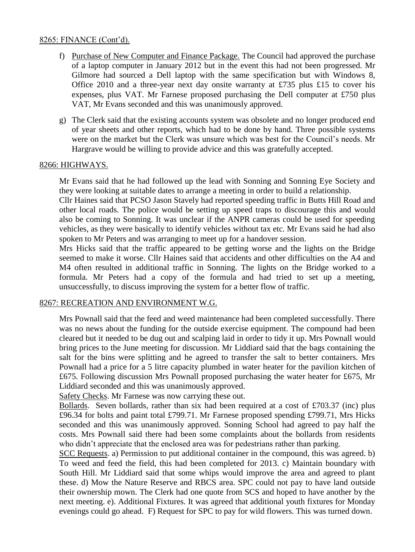## 8265: FINANCE (Cont'd).

- f) Purchase of New Computer and Finance Package. The Council had approved the purchase of a laptop computer in January 2012 but in the event this had not been progressed. Mr Gilmore had sourced a Dell laptop with the same specification but with Windows 8, Office 2010 and a three-year next day onsite warranty at £735 plus £15 to cover his expenses, plus VAT. Mr Farnese proposed purchasing the Dell computer at £750 plus VAT, Mr Evans seconded and this was unanimously approved.
- g) The Clerk said that the existing accounts system was obsolete and no longer produced end of year sheets and other reports, which had to be done by hand. Three possible systems were on the market but the Clerk was unsure which was best for the Council's needs. Mr Hargrave would be willing to provide advice and this was gratefully accepted.

## 8266: HIGHWAYS.

Mr Evans said that he had followed up the lead with Sonning and Sonning Eye Society and they were looking at suitable dates to arrange a meeting in order to build a relationship.

Cllr Haines said that PCSO Jason Stavely had reported speeding traffic in Butts Hill Road and other local roads. The police would be setting up speed traps to discourage this and would also be coming to Sonning. It was unclear if the ANPR cameras could be used for speeding vehicles, as they were basically to identify vehicles without tax etc. Mr Evans said he had also spoken to Mr Peters and was arranging to meet up for a handover session.

Mrs Hicks said that the traffic appeared to be getting worse and the lights on the Bridge seemed to make it worse. Cllr Haines said that accidents and other difficulties on the A4 and M4 often resulted in additional traffic in Sonning. The lights on the Bridge worked to a formula. Mr Peters had a copy of the formula and had tried to set up a meeting, unsuccessfully, to discuss improving the system for a better flow of traffic.

### 8267: RECREATION AND ENVIRONMENT W.G.

Mrs Pownall said that the feed and weed maintenance had been completed successfully. There was no news about the funding for the outside exercise equipment. The compound had been cleared but it needed to be dug out and scalping laid in order to tidy it up. Mrs Pownall would bring prices to the June meeting for discussion. Mr Liddiard said that the bags containing the salt for the bins were splitting and he agreed to transfer the salt to better containers. Mrs Pownall had a price for a 5 litre capacity plumbed in water heater for the pavilion kitchen of £675. Following discussion Mrs Pownall proposed purchasing the water heater for £675, Mr Liddiard seconded and this was unanimously approved.

Safety Checks. Mr Farnese was now carrying these out.

Bollards. Seven bollards, rather than six had been required at a cost of £703.37 (inc) plus £96.34 for bolts and paint total £799.71. Mr Farnese proposed spending £799.71, Mrs Hicks seconded and this was unanimously approved. Sonning School had agreed to pay half the costs. Mrs Pownall said there had been some complaints about the bollards from residents who didn't appreciate that the enclosed area was for pedestrians rather than parking.

SCC Requests. a) Permission to put additional container in the compound, this was agreed. b) To weed and feed the field, this had been completed for 2013. c) Maintain boundary with South Hill. Mr Liddiard said that some whips would improve the area and agreed to plant these. d) Mow the Nature Reserve and RBCS area. SPC could not pay to have land outside their ownership mown. The Clerk had one quote from SCS and hoped to have another by the next meeting. e). Additional Fixtures. It was agreed that additional youth fixtures for Monday evenings could go ahead. F) Request for SPC to pay for wild flowers. This was turned down.